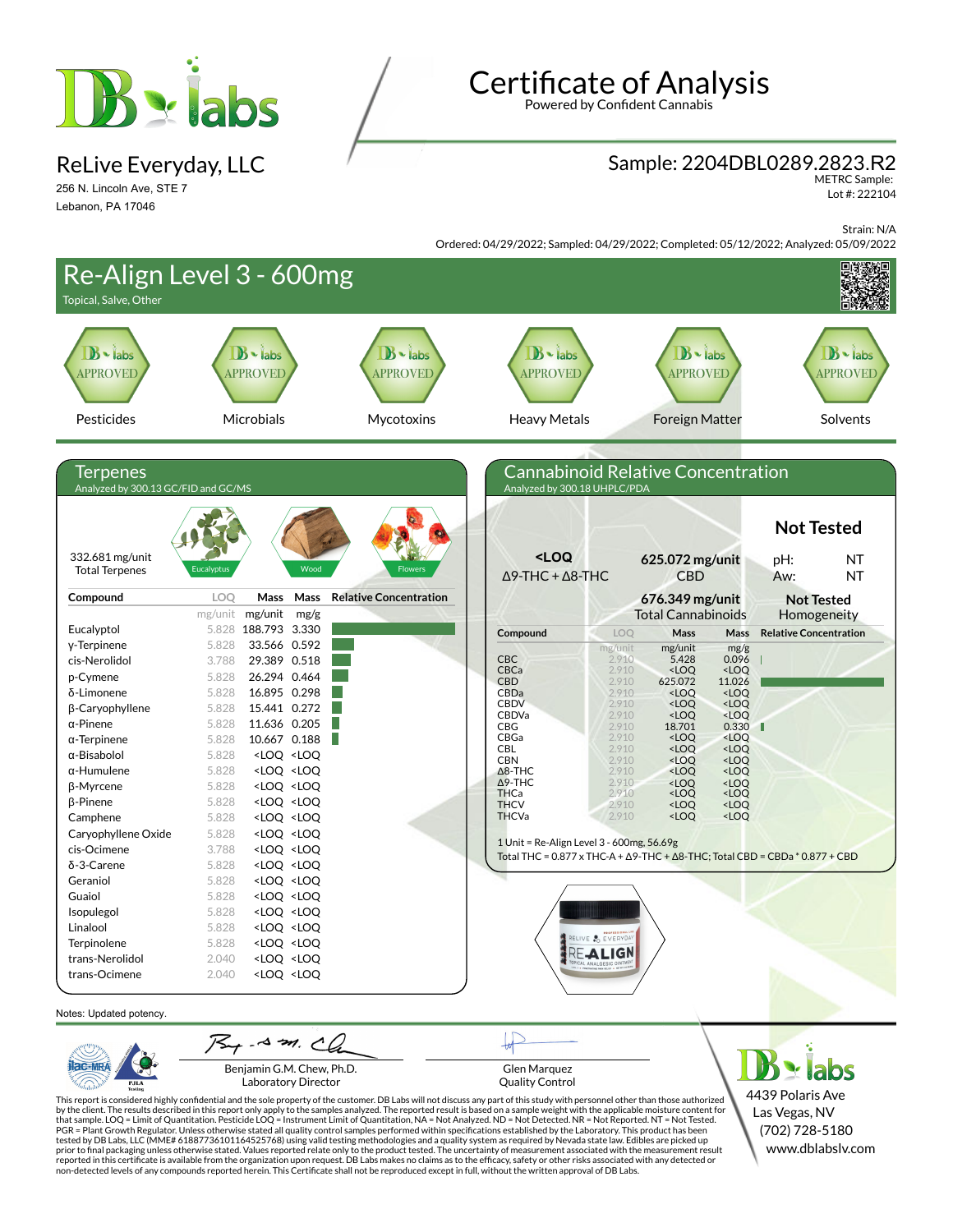

ReLive Everyday, LLC

256 N. Lincoln Ave, STE 7 Lebanon, PA 17046

# Certificate of Analysis

Powered by Confident Cannabis

### Sample: 2204DBL0289.2823.R2

METRC Sample: Lot #: 222104

(702) 728-5180 www.dblabslv.com

Strain: N/A

Ordered: 04/29/2022; Sampled: 04/29/2022; Completed: 05/12/2022; Analyzed: 05/09/2022



This report is considered highly confidential and the sole property of the customer. DB Labs will not discuss any part of this study with personnel other than those authorized<br>by the client. The results described in this PGR = Plant Growth Regulator. Unless otherwise stated all quality control samples performed within specifications established by the Laboratory. This product has been tested by DB Labs, LLC (MME# 61887736101164525768) using valid testing methodologies and a quality system as required by Nevada state law. Edibles are picked up<br>prior to final packaging unless otherwise stated. Values repo reported in this certificate is available from the organization upon request. DB Labs makes no claims as to the efficacy, safety or other risks associated with any detected or<br>non-detected levels of any compounds reported